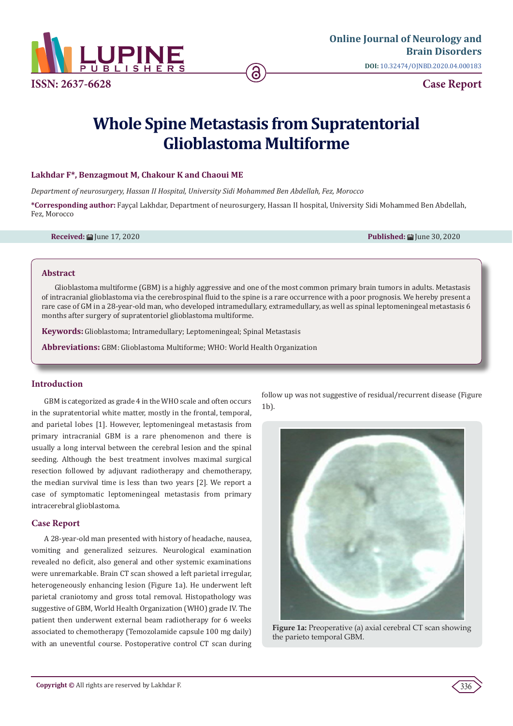

# **Whole Spine Metastasis from Supratentorial Glioblastoma Multiforme**

## **Lakhdar F\*, Benzagmout M, Chakour K and Chaoui ME**

*Department of neurosurgery, Hassan II Hospital, University Sidi Mohammed Ben Abdellah, Fez, Morocco*

**\*Corresponding author:** Fayçal Lakhdar, Department of neurosurgery, Hassan II hospital, University Sidi Mohammed Ben Abdellah, Fez, Morocco

**Received:** June 17, 2020 **Published:** June 30, 2020

#### **Abstract**

Glioblastoma multiforme (GBM) is a highly aggressive and one of the most common primary brain tumors in adults. Metastasis of intracranial glioblastoma via the cerebrospinal fluid to the spine is a rare occurrence with a poor prognosis. We hereby present a rare case of GM in a 28-year-old man, who developed intramedullary, extramedullary, as well as spinal leptomeningeal metastasis 6 months after surgery of supratentoriel glioblastoma multiforme.

**Keywords:** Glioblastoma; Intramedullary; Leptomeningeal; Spinal Metastasis

**Abbreviations:** GBM: Glioblastoma Multiforme; WHO: World Health Organization

#### **Introduction**

GBM is categorized as grade 4 in the WHO scale and often occurs in the supratentorial white matter, mostly in the frontal, temporal, and parietal lobes [1]. However, leptomeningeal metastasis from primary intracranial GBM is a rare phenomenon and there is usually a long interval between the cerebral lesion and the spinal seeding. Although the best treatment involves maximal surgical resection followed by adjuvant radiotherapy and chemotherapy, the median survival time is less than two years [2]. We report a case of symptomatic leptomeningeal metastasis from primary intracerebral glioblastoma.

## **Case Report**

A 28-year-old man presented with history of headache, nausea, vomiting and generalized seizures. Neurological examination revealed no deficit, also general and other systemic examinations were unremarkable. Brain CT scan showed a left parietal irregular, heterogeneously enhancing lesion (Figure 1a). He underwent left parietal craniotomy and gross total removal. Histopathology was suggestive of GBM, World Health Organization (WHO) grade IV. The patient then underwent external beam radiotherapy for 6 weeks associated to chemotherapy (Temozolamide capsule 100 mg daily) with an uneventful course. Postoperative control CT scan during follow up was not suggestive of residual/recurrent disease (Figure 1b).



**Figure 1a:** Preoperative (a) axial cerebral CT scan showing the parieto temporal GBM.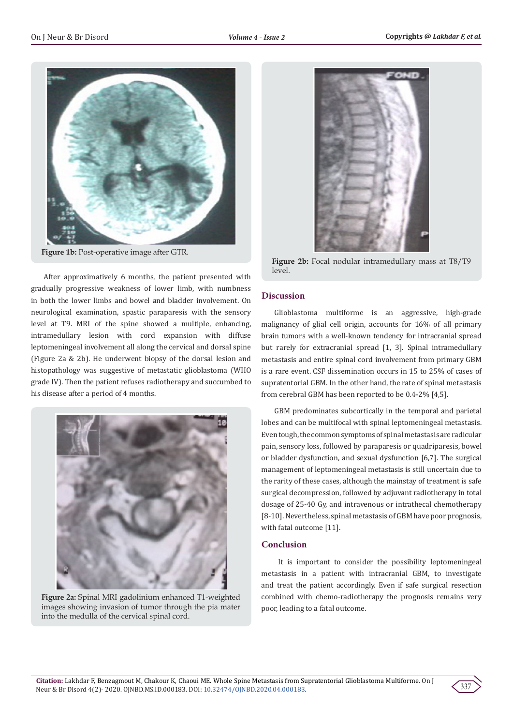

**Figure 1b:** Post-operative image after GTR.

After approximatively 6 months, the patient presented with gradually progressive weakness of lower limb, with numbness in both the lower limbs and bowel and bladder involvement. On neurological examination, spastic paraparesis with the sensory level at T9. MRI of the spine showed a multiple, enhancing, intramedullary lesion with cord expansion with diffuse leptomeningeal involvement all along the cervical and dorsal spine (Figure 2a & 2b). He underwent biopsy of the dorsal lesion and histopathology was suggestive of metastatic glioblastoma (WHO grade IV). Then the patient refuses radiotherapy and succumbed to his disease after a period of 4 months.



**Figure 2a:** Spinal MRI gadolinium enhanced T1-weighted images showing invasion of tumor through the pia mater into the medulla of the cervical spinal cord.



**Figure 2b:** Focal nodular intramedullary mass at T8/T9 level.

# **Discussion**

Glioblastoma multiforme is an aggressive, high-grade malignancy of glial cell origin, accounts for 16% of all primary brain tumors with a well-known tendency for intracranial spread but rarely for extracranial spread [1, 3]. Spinal intramedullary metastasis and entire spinal cord involvement from primary GBM is a rare event. CSF dissemination occurs in 15 to 25% of cases of supratentorial GBM. In the other hand, the rate of spinal metastasis from cerebral GBM has been reported to be 0.4-2% [4,5].

GBM predominates subcortically in the temporal and parietal lobes and can be multifocal with spinal leptomeningeal metastasis. Even tough, the common symptoms of spinal metastasis are radicular pain, sensory loss, followed by paraparesis or quadriparesis, bowel or bladder dysfunction, and sexual dysfunction [6,7]. The surgical management of leptomeningeal metastasis is still uncertain due to the rarity of these cases, although the mainstay of treatment is safe surgical decompression, followed by adjuvant radiotherapy in total dosage of 25-40 Gy, and intravenous or intrathecal chemotherapy [8-10]. Nevertheless, spinal metastasis of GBM have poor prognosis, with fatal outcome [11].

## **Conclusion**

 It is important to consider the possibility leptomeningeal metastasis in a patient with intracranial GBM, to investigate and treat the patient accordingly. Even if safe surgical resection combined with chemo-radiotherapy the prognosis remains very poor, leading to a fatal outcome.

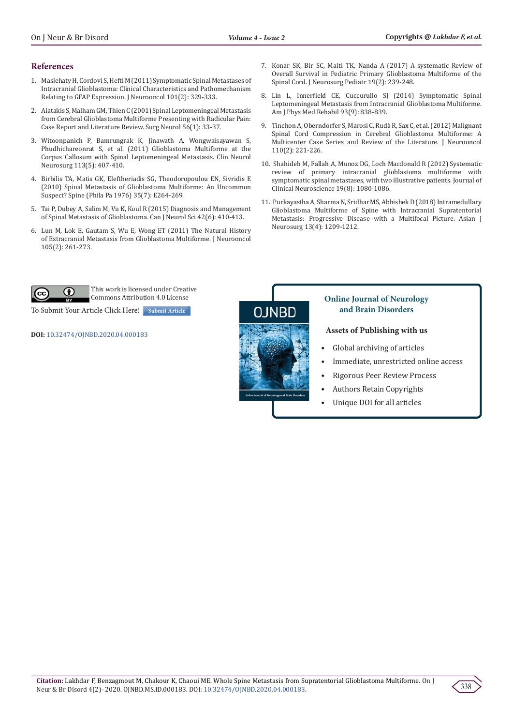## **References**

- 1. [Maslehaty H, Cordovi S, Hefti M \(2011\) Symptomatic Spinal Metastases of](https://pubmed.ncbi.nlm.nih.gov/20549302/)  [Intracranial Glioblastoma: Clinical Characteristics and Pathomechanism](https://pubmed.ncbi.nlm.nih.gov/20549302/)  [Relating to GFAP Expression. J Neurooncol 101\(2\): 329-333.](https://pubmed.ncbi.nlm.nih.gov/20549302/)
- 2. [Alatakis S, Malham GM, Thien C \(2001\) Spinal Leptomeningeal Metastasis](https://pubmed.ncbi.nlm.nih.gov/11546569/)  [from Cerebral Glioblastoma Multiforme Presenting with Radicular Pain:](https://pubmed.ncbi.nlm.nih.gov/11546569/)  [Case Report and Literature Review. Surg Neurol 56\(1\): 33-37.](https://pubmed.ncbi.nlm.nih.gov/11546569/)
- 3. [Witoonpanich P, Bamrungrak K, Jinawath A, Wongwaisayawan S,](https://pubmed.ncbi.nlm.nih.gov/21208740/)  [Phudhichareonrat S, et al. \(2011\) Glioblastoma Multiforme at the](https://pubmed.ncbi.nlm.nih.gov/21208740/)  [Corpus Callosum with Spinal Leptomeningeal Metastasis. Clin Neurol](https://pubmed.ncbi.nlm.nih.gov/21208740/)  [Neurosurg 113\(5\): 407-410.](https://pubmed.ncbi.nlm.nih.gov/21208740/)
- 4. [Birbilis TA, Matis GK, Eleftheriadis SG, Theodoropoulou EN, Sivridis E](https://pubmed.ncbi.nlm.nih.gov/20195200/)  [\(2010\) Spinal Metastasis of Glioblastoma Multiforme: An Uncommon](https://pubmed.ncbi.nlm.nih.gov/20195200/)  [Suspect? Spine \(Phila Pa 1976\) 35\(7\): E264-269.](https://pubmed.ncbi.nlm.nih.gov/20195200/)
- 5. [Tai P, Dubey A, Salim M, Vu K, Koul R \(2015\) Diagnosis and Management](https://pubmed.ncbi.nlm.nih.gov/26310615/)  [of Spinal Metastasis of Glioblastoma. Can J Neurol Sci 42\(6\): 410-413.](https://pubmed.ncbi.nlm.nih.gov/26310615/)
- 6. Lun M, Lok E, Gautam S, Wu E, Wong ET (2011) The Natural History of Extracranial Metastasis from Glioblastoma Multiforme. J Neurooncol 105(2): 261-273.
- 7. [Konar SK, Bir SC, Maiti TK, Nanda A \(2017\) A systematic Review of](https://pubmed.ncbi.nlm.nih.gov/27813458/) [Overall Survival in Pediatric Primary Glioblastoma Multiforme of the](https://pubmed.ncbi.nlm.nih.gov/27813458/) [Spinal Cord. J Neurosurg Pediatr 19\(2\): 239-248.](https://pubmed.ncbi.nlm.nih.gov/27813458/)
- 8. [Lin L, Innerfield CE, Cuccurullo SJ \(2014\) Symptomatic Spinal](https://pubmed.ncbi.nlm.nih.gov/25140830/) [Leptomeningeal Metastasis from Intracranial Glioblastoma Multiforme.](https://pubmed.ncbi.nlm.nih.gov/25140830/) [Am J Phys Med Rehabil 93\(9\): 838-839.](https://pubmed.ncbi.nlm.nih.gov/25140830/)
- 9. [Tinchon A, Oberndorfer S, Marosi C, Rud](https://pubmed.ncbi.nlm.nih.gov/22886532/)à R, Sax C, et al. (2012) Malignant [Spinal Cord Compression in Cerebral Glioblastoma Multiforme: A](https://pubmed.ncbi.nlm.nih.gov/22886532/) [Multicenter Case Series and Review of the Literature. J Neurooncol](https://pubmed.ncbi.nlm.nih.gov/22886532/) [110\(2\): 221-226.](https://pubmed.ncbi.nlm.nih.gov/22886532/)
- 10. [Shahideh M, Fallah A, Munoz DG, Loch Macdonald R \(2012\) Systematic](https://www.sciencedirect.com/science/article/abs/pii/S0967586811006540) [review of primary intracranial glioblastoma multiforme with](https://www.sciencedirect.com/science/article/abs/pii/S0967586811006540) [symptomatic spinal metastases, with two illustrative patients. Journal of](https://www.sciencedirect.com/science/article/abs/pii/S0967586811006540) [Clinical Neuroscience 19\(8\): 1080-1086.](https://www.sciencedirect.com/science/article/abs/pii/S0967586811006540)
- 11. [Purkayastha A, Sharma N, Sridhar MS, Abhishek D \(2018\) Intramedullary](https://www.ncbi.nlm.nih.gov/pmc/articles/PMC6208206/) [Glioblastoma Multiforme of Spine with Intracranial Supratentorial](https://www.ncbi.nlm.nih.gov/pmc/articles/PMC6208206/) [Metastasis: Progressive Disease with a Multifocal Picture. Asian J](https://www.ncbi.nlm.nih.gov/pmc/articles/PMC6208206/) [Neurosurg 13\(4\): 1209-1212.](https://www.ncbi.nlm.nih.gov/pmc/articles/PMC6208206/)



This work is licensed under Creative Commons Attribution 4.0 License

To Submit Your Article Click Here: **[Submit Article](https://www.lupinepublishers.com/submit-manuscript.php)**

**DOI:** [10.32474/OJNBD.2020.04.000183](http://dx.doi.org/10.32474/OJNBD.2020.04.000183)





## **Online Journal of Neurology and Brain Disorders**

## **Assets of Publishing with us**

- Global archiving of articles
- Immediate, unrestricted online access
- Rigorous Peer Review Process
- Authors Retain Copyrights
- Unique DOI for all articles